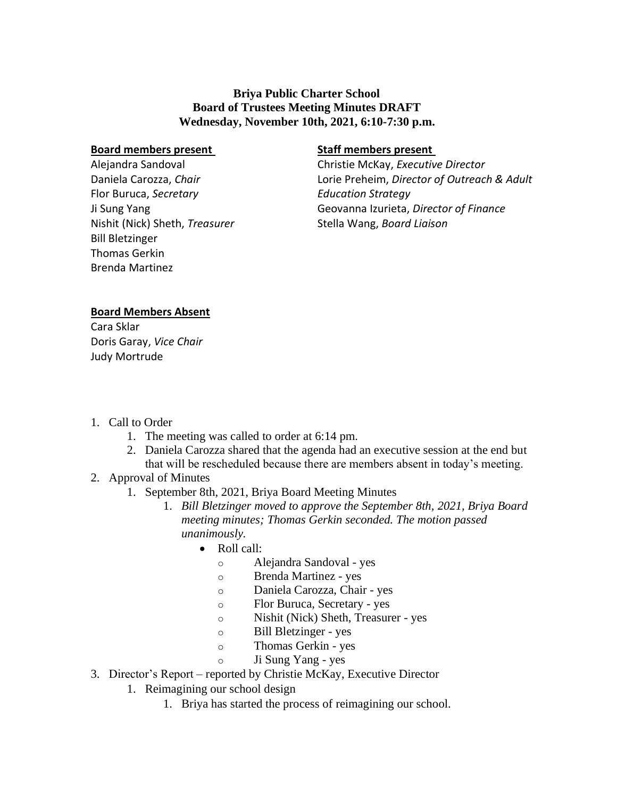## **Briya Public Charter School Board of Trustees Meeting Minutes DRAFT Wednesday, November 10th, 2021, 6:10-7:30 p.m.**

#### **Board members present**

Alejandra Sandoval Daniela Carozza, *Chair* Flor Buruca, *Secretary* Ji Sung Yang Nishit (Nick) Sheth, *Treasurer* Bill Bletzinger Thomas Gerkin Brenda Martinez

### **Staff members present**

Christie McKay, *Executive Director* Lorie Preheim, *Director of Outreach & Adult Education Strategy* Geovanna Izurieta, *Director of Finance* Stella Wang, *Board Liaison*

### **Board Members Absent**

Cara Sklar Doris Garay, *Vice Chair* Judy Mortrude

- 1. Call to Order
	- 1. The meeting was called to order at 6:14 pm.
	- 2. Daniela Carozza shared that the agenda had an executive session at the end but that will be rescheduled because there are members absent in today's meeting.
- 2. Approval of Minutes
	- 1. September 8th, 2021, Briya Board Meeting Minutes
		- 1. *Bill Bletzinger moved to approve the September 8th, 2021, Briya Board meeting minutes; Thomas Gerkin seconded. The motion passed unanimously.*
			- Roll call:
				- o Alejandra Sandoval yes
				- o Brenda Martinez yes
				- o Daniela Carozza, Chair *-* yes
				- o Flor Buruca, Secretary *-* yes
				- o Nishit (Nick) Sheth, Treasurer *-* yes
				- o Bill Bletzinger yes
				- o Thomas Gerkin yes
				- o Ji Sung Yang yes
- 3. Director's Report reported by Christie McKay, Executive Director
	- 1. Reimagining our school design
		- 1. Briya has started the process of reimagining our school.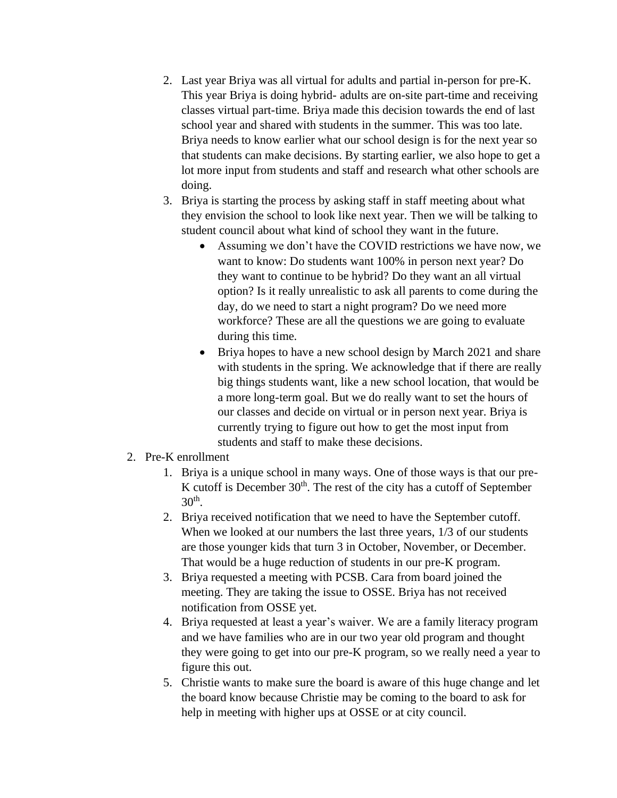- 2. Last year Briya was all virtual for adults and partial in-person for pre-K. This year Briya is doing hybrid- adults are on-site part-time and receiving classes virtual part-time. Briya made this decision towards the end of last school year and shared with students in the summer. This was too late. Briya needs to know earlier what our school design is for the next year so that students can make decisions. By starting earlier, we also hope to get a lot more input from students and staff and research what other schools are doing.
- 3. Briya is starting the process by asking staff in staff meeting about what they envision the school to look like next year. Then we will be talking to student council about what kind of school they want in the future.
	- Assuming we don't have the COVID restrictions we have now, we want to know: Do students want 100% in person next year? Do they want to continue to be hybrid? Do they want an all virtual option? Is it really unrealistic to ask all parents to come during the day, do we need to start a night program? Do we need more workforce? These are all the questions we are going to evaluate during this time.
	- Briya hopes to have a new school design by March 2021 and share with students in the spring. We acknowledge that if there are really big things students want, like a new school location, that would be a more long-term goal. But we do really want to set the hours of our classes and decide on virtual or in person next year. Briya is currently trying to figure out how to get the most input from students and staff to make these decisions.

### 2. Pre-K enrollment

- 1. Briya is a unique school in many ways. One of those ways is that our pre-K cutoff is December  $30<sup>th</sup>$ . The rest of the city has a cutoff of September  $30<sup>th</sup>$ .
- 2. Briya received notification that we need to have the September cutoff. When we looked at our numbers the last three years, 1/3 of our students are those younger kids that turn 3 in October, November, or December. That would be a huge reduction of students in our pre-K program.
- 3. Briya requested a meeting with PCSB. Cara from board joined the meeting. They are taking the issue to OSSE. Briya has not received notification from OSSE yet.
- 4. Briya requested at least a year's waiver. We are a family literacy program and we have families who are in our two year old program and thought they were going to get into our pre-K program, so we really need a year to figure this out.
- 5. Christie wants to make sure the board is aware of this huge change and let the board know because Christie may be coming to the board to ask for help in meeting with higher ups at OSSE or at city council.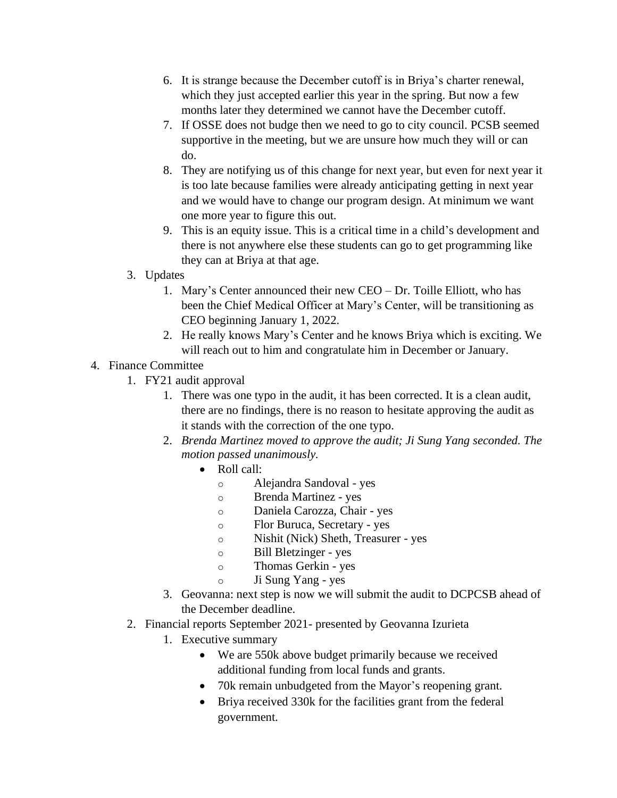- 6. It is strange because the December cutoff is in Briya's charter renewal, which they just accepted earlier this year in the spring. But now a few months later they determined we cannot have the December cutoff.
- 7. If OSSE does not budge then we need to go to city council. PCSB seemed supportive in the meeting, but we are unsure how much they will or can do.
- 8. They are notifying us of this change for next year, but even for next year it is too late because families were already anticipating getting in next year and we would have to change our program design. At minimum we want one more year to figure this out.
- 9. This is an equity issue. This is a critical time in a child's development and there is not anywhere else these students can go to get programming like they can at Briya at that age.
- 3. Updates
	- 1. Mary's Center announced their new CEO Dr. Toille Elliott, who has been the Chief Medical Officer at Mary's Center, will be transitioning as CEO beginning January 1, 2022.
	- 2. He really knows Mary's Center and he knows Briya which is exciting. We will reach out to him and congratulate him in December or January.

# 4. Finance Committee

- 1. FY21 audit approval
	- 1. There was one typo in the audit, it has been corrected. It is a clean audit, there are no findings, there is no reason to hesitate approving the audit as it stands with the correction of the one typo.
	- 2. *Brenda Martinez moved to approve the audit; Ji Sung Yang seconded. The motion passed unanimously.*
		- Roll call:
			- o Alejandra Sandoval yes
			- o Brenda Martinez yes
			- o Daniela Carozza, Chair *-* yes
			- o Flor Buruca, Secretary *-* yes
			- o Nishit (Nick) Sheth, Treasurer *-* yes
			- o Bill Bletzinger yes
			- o Thomas Gerkin yes
			- o Ji Sung Yang yes
	- 3. Geovanna: next step is now we will submit the audit to DCPCSB ahead of the December deadline.
- 2. Financial reports September 2021- presented by Geovanna Izurieta
	- 1. Executive summary
		- We are 550k above budget primarily because we received additional funding from local funds and grants.
		- 70k remain unbudgeted from the Mayor's reopening grant.
		- Briya received 330k for the facilities grant from the federal government.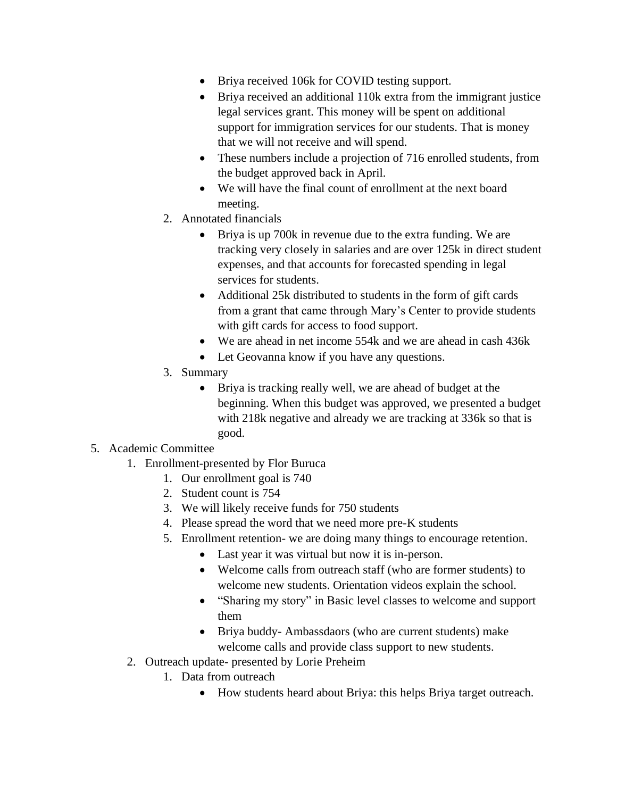- Briya received 106k for COVID testing support.
- Briya received an additional 110k extra from the immigrant justice legal services grant. This money will be spent on additional support for immigration services for our students. That is money that we will not receive and will spend.
- These numbers include a projection of 716 enrolled students, from the budget approved back in April.
- We will have the final count of enrollment at the next board meeting.
- 2. Annotated financials
	- Briya is up 700k in revenue due to the extra funding. We are tracking very closely in salaries and are over 125k in direct student expenses, and that accounts for forecasted spending in legal services for students.
	- Additional 25k distributed to students in the form of gift cards from a grant that came through Mary's Center to provide students with gift cards for access to food support.
	- We are ahead in net income 554k and we are ahead in cash 436k
	- Let Geovanna know if you have any questions.
- 3. Summary
	- Briya is tracking really well, we are ahead of budget at the beginning. When this budget was approved, we presented a budget with 218k negative and already we are tracking at 336k so that is good.

## 5. Academic Committee

- 1. Enrollment-presented by Flor Buruca
	- 1. Our enrollment goal is 740
	- 2. Student count is 754
	- 3. We will likely receive funds for 750 students
	- 4. Please spread the word that we need more pre-K students
	- 5. Enrollment retention- we are doing many things to encourage retention.
		- Last year it was virtual but now it is in-person.
		- Welcome calls from outreach staff (who are former students) to welcome new students. Orientation videos explain the school.
		- "Sharing my story" in Basic level classes to welcome and support them
		- Briya buddy- Ambassdaors (who are current students) make welcome calls and provide class support to new students.
- 2. Outreach update- presented by Lorie Preheim
	- 1. Data from outreach
		- How students heard about Briya: this helps Briya target outreach.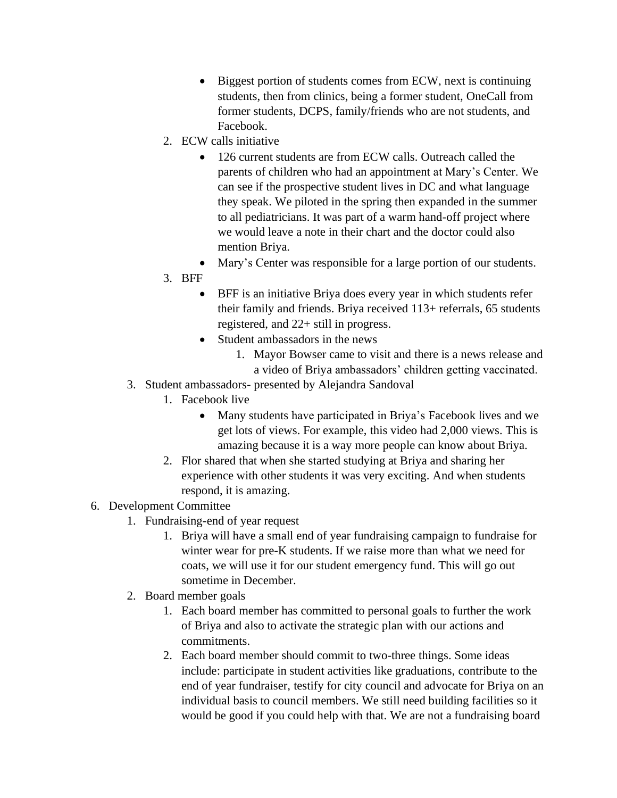- Biggest portion of students comes from ECW, next is continuing students, then from clinics, being a former student, OneCall from former students, DCPS, family/friends who are not students, and Facebook.
- 2. ECW calls initiative
	- 126 current students are from ECW calls. Outreach called the parents of children who had an appointment at Mary's Center. We can see if the prospective student lives in DC and what language they speak. We piloted in the spring then expanded in the summer to all pediatricians. It was part of a warm hand-off project where we would leave a note in their chart and the doctor could also mention Briya.
	- Mary's Center was responsible for a large portion of our students.
- 3. BFF
	- BFF is an initiative Briya does every year in which students refer their family and friends. Briya received 113+ referrals, 65 students registered, and 22+ still in progress.
	- Student ambassadors in the news
		- 1. Mayor Bowser came to visit and there is a news release and a video of Briya ambassadors' children getting vaccinated.
- 3. Student ambassadors- presented by Alejandra Sandoval
	- 1. Facebook live
		- Many students have participated in Briya's Facebook lives and we get lots of views. For example, this video had 2,000 views. This is amazing because it is a way more people can know about Briya.
	- 2. Flor shared that when she started studying at Briya and sharing her experience with other students it was very exciting. And when students respond, it is amazing.
- 6. Development Committee
	- 1. Fundraising-end of year request
		- 1. Briya will have a small end of year fundraising campaign to fundraise for winter wear for pre-K students. If we raise more than what we need for coats, we will use it for our student emergency fund. This will go out sometime in December.
	- 2. Board member goals
		- 1. Each board member has committed to personal goals to further the work of Briya and also to activate the strategic plan with our actions and commitments.
		- 2. Each board member should commit to two-three things. Some ideas include: participate in student activities like graduations, contribute to the end of year fundraiser, testify for city council and advocate for Briya on an individual basis to council members. We still need building facilities so it would be good if you could help with that. We are not a fundraising board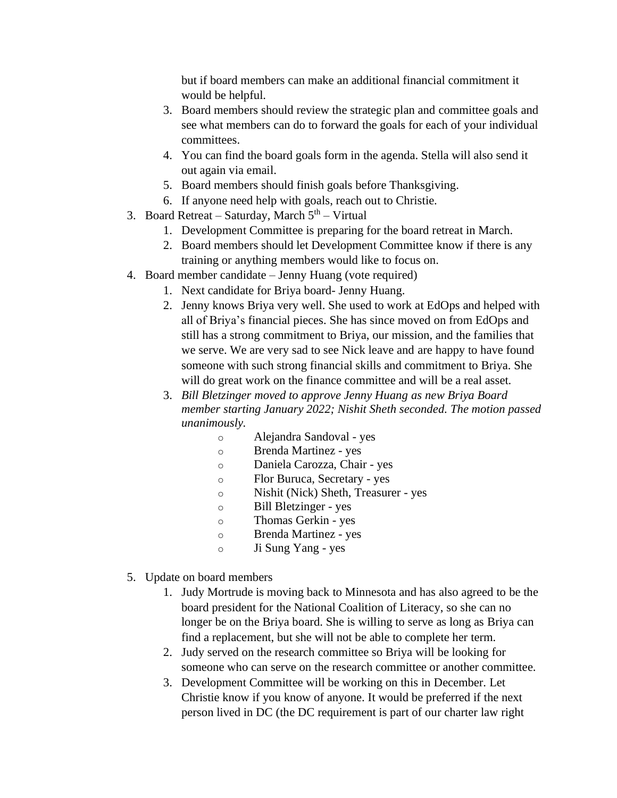but if board members can make an additional financial commitment it would be helpful.

- 3. Board members should review the strategic plan and committee goals and see what members can do to forward the goals for each of your individual committees.
- 4. You can find the board goals form in the agenda. Stella will also send it out again via email.
- 5. Board members should finish goals before Thanksgiving.
- 6. If anyone need help with goals, reach out to Christie.
- 3. Board Retreat Saturday, March  $5<sup>th</sup>$  Virtual
	- 1. Development Committee is preparing for the board retreat in March.
	- 2. Board members should let Development Committee know if there is any training or anything members would like to focus on.
- 4. Board member candidate Jenny Huang (vote required)
	- 1. Next candidate for Briya board- Jenny Huang.
	- 2. Jenny knows Briya very well. She used to work at EdOps and helped with all of Briya's financial pieces. She has since moved on from EdOps and still has a strong commitment to Briya, our mission, and the families that we serve. We are very sad to see Nick leave and are happy to have found someone with such strong financial skills and commitment to Briya. She will do great work on the finance committee and will be a real asset.
	- 3. *Bill Bletzinger moved to approve Jenny Huang as new Briya Board member starting January 2022; Nishit Sheth seconded. The motion passed unanimously.*
		- o Alejandra Sandoval yes
		- o Brenda Martinez yes
		- o Daniela Carozza, Chair *-* yes
		- o Flor Buruca, Secretary *-* yes
		- o Nishit (Nick) Sheth, Treasurer *-* yes
		- o Bill Bletzinger yes
		- o Thomas Gerkin yes
		- o Brenda Martinez yes
		- o Ji Sung Yang yes
- 5. Update on board members
	- 1. Judy Mortrude is moving back to Minnesota and has also agreed to be the board president for the National Coalition of Literacy, so she can no longer be on the Briya board. She is willing to serve as long as Briya can find a replacement, but she will not be able to complete her term.
	- 2. Judy served on the research committee so Briya will be looking for someone who can serve on the research committee or another committee.
	- 3. Development Committee will be working on this in December. Let Christie know if you know of anyone. It would be preferred if the next person lived in DC (the DC requirement is part of our charter law right